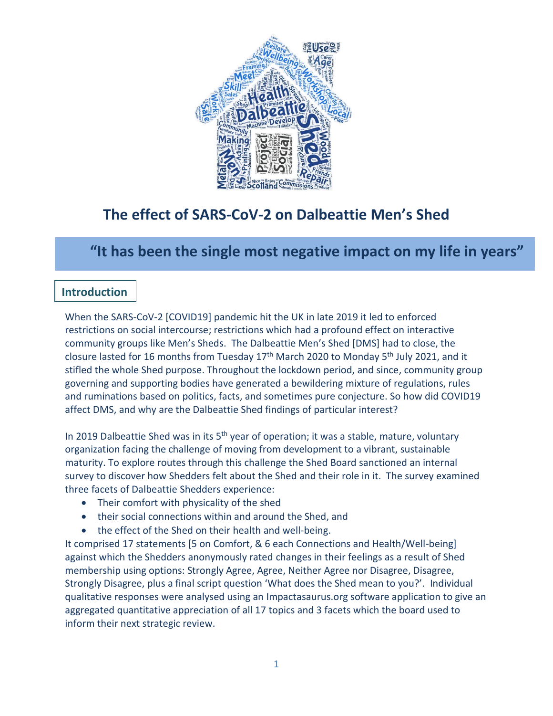

# **The effect of SARS-CoV-2 on Dalbeattie Men's Shed**

# **"It has been the single most negative impact on my life in years"**

## **Introduction**

When the SARS-CoV-2 [COVID19] pandemic hit the UK in late 2019 it led to enforced restrictions on social intercourse; restrictions which had a profound effect on interactive community groups like Men's Sheds. The Dalbeattie Men's Shed [DMS] had to close, the closure lasted for 16 months from Tuesday  $17<sup>th</sup>$  March 2020 to Monday 5<sup>th</sup> July 2021, and it stifled the whole Shed purpose. Throughout the lockdown period, and since, community group governing and supporting bodies have generated a bewildering mixture of regulations, rules and ruminations based on politics, facts, and sometimes pure conjecture. So how did COVID19 affect DMS, and why are the Dalbeattie Shed findings of particular interest?

In 2019 Dalbeattie Shed was in its 5<sup>th</sup> year of operation; it was a stable, mature, voluntary organization facing the challenge of moving from development to a vibrant, sustainable maturity. To explore routes through this challenge the Shed Board sanctioned an internal survey to discover how Shedders felt about the Shed and their role in it. The survey examined three facets of Dalbeattie Shedders experience:

- Their comfort with physicality of the shed
- their social connections within and around the Shed, and
- the effect of the Shed on their health and well-being.

It comprised 17 statements [5 on Comfort, & 6 each Connections and Health/Well-being] against which the Shedders anonymously rated changes in their feelings as a result of Shed membership using options: Strongly Agree, Agree, Neither Agree nor Disagree, Disagree, Strongly Disagree, plus a final script question 'What does the Shed mean to you?'. Individual qualitative responses were analysed using an Impactasaurus.org software application to give an aggregated quantitative appreciation of all 17 topics and 3 facets which the board used to inform their next strategic review.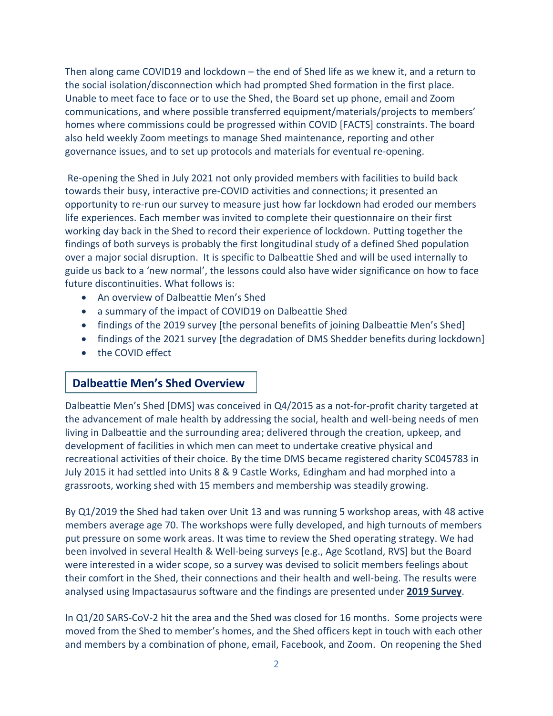Then along came COVID19 and lockdown – the end of Shed life as we knew it, and a return to the social isolation/disconnection which had prompted Shed formation in the first place. Unable to meet face to face or to use the Shed, the Board set up phone, email and Zoom communications, and where possible transferred equipment/materials/projects to members' homes where commissions could be progressed within COVID [FACTS] constraints. The board also held weekly Zoom meetings to manage Shed maintenance, reporting and other governance issues, and to set up protocols and materials for eventual re-opening.

Re-opening the Shed in July 2021 not only provided members with facilities to build back towards their busy, interactive pre-COVID activities and connections; it presented an opportunity to re-run our survey to measure just how far lockdown had eroded our members life experiences. Each member was invited to complete their questionnaire on their first working day back in the Shed to record their experience of lockdown. Putting together the findings of both surveys is probably the first longitudinal study of a defined Shed population over a major social disruption. It is specific to Dalbeattie Shed and will be used internally to guide us back to a 'new normal', the lessons could also have wider significance on how to face future discontinuities. What follows is:

- An overview of Dalbeattie Men's Shed
- a summary of the impact of COVID19 on Dalbeattie Shed
- findings of the 2019 survey [the personal benefits of joining Dalbeattie Men's Shed]
- findings of the 2021 survey [the degradation of DMS Shedder benefits during lockdown]
- the COVID effect

## **Dalbeattie Men's Shed Overview**

Dalbeattie Men's Shed [DMS] was conceived in Q4/2015 as a not-for-profit charity targeted at the advancement of male health by addressing the social, health and well-being needs of men living in Dalbeattie and the surrounding area; delivered through the creation, upkeep, and development of facilities in which men can meet to undertake creative physical and recreational activities of their choice. By the time DMS became registered charity SC045783 in July 2015 it had settled into Units 8 & 9 Castle Works, Edingham and had morphed into a grassroots, working shed with 15 members and membership was steadily growing.

By Q1/2019 the Shed had taken over Unit 13 and was running 5 workshop areas, with 48 active members average age 70. The workshops were fully developed, and high turnouts of members put pressure on some work areas. It was time to review the Shed operating strategy. We had been involved in several Health & Well-being surveys [e.g., Age Scotland, RVS] but the Board were interested in a wider scope, so a survey was devised to solicit members feelings about their comfort in the Shed, their connections and their health and well-being. The results were analysed using Impactasaurus software and the findings are presented under **2019 Survey**.

In Q1/20 SARS-CoV-2 hit the area and the Shed was closed for 16 months. Some projects were moved from the Shed to member's homes, and the Shed officers kept in touch with each other and members by a combination of phone, email, Facebook, and Zoom. On reopening the Shed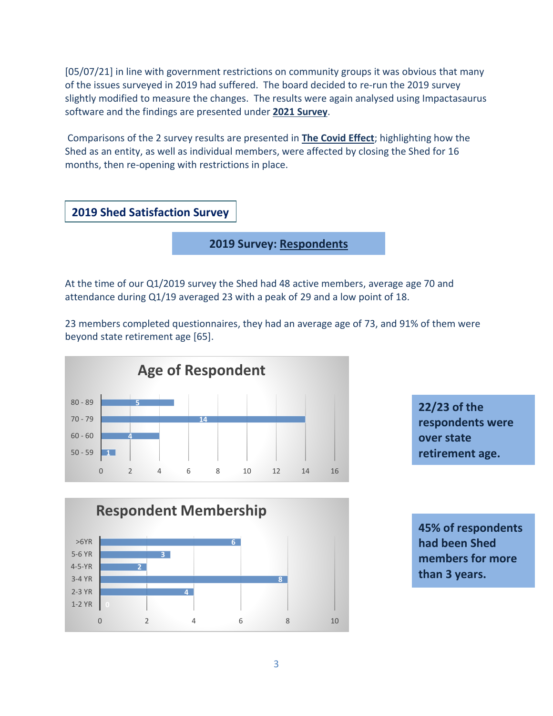[05/07/21] in line with government restrictions on community groups it was obvious that many of the issues surveyed in 2019 had suffered. The board decided to re-run the 2019 survey slightly modified to measure the changes. The results were again analysed using Impactasaurus software and the findings are presented under **2021 Survey**.

Comparisons of the 2 survey results are presented in **The Covid Effect**; highlighting how the Shed as an entity, as well as individual members, were affected by closing the Shed for 16 months, then re-opening with restrictions in place.



**2019 Survey: Respondents**

At the time of our Q1/2019 survey the Shed had 48 active members, average age 70 and attendance during Q1/19 averaged 23 with a peak of 29 and a low point of 18.

23 members completed questionnaires, they had an average age of 73, and 91% of them were beyond state retirement age [65].







**45% of respondents had been Shed members for more than 3 years.**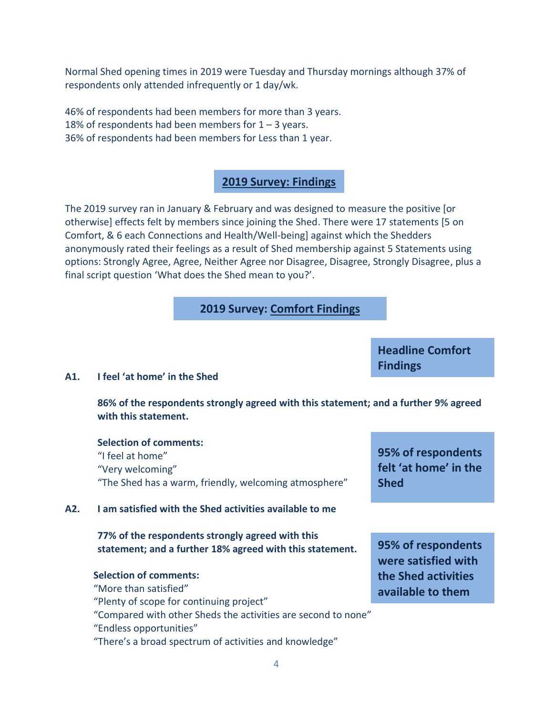Normal Shed opening times in 2019 were Tuesday and Thursday mornings although 37% of respondents only attended infrequently or 1 day/wk.

46% of respondents had been members for more than 3 years. 18% of respondents had been members for  $1 - 3$  years. 36% of respondents had been members for Less than 1 year.

## **2019 Survey: Findings**

The 2019 survey ran in January & February and was designed to measure the positive [or otherwise] effects felt by members since joining the Shed. There were 17 statements [5 on Comfort, & 6 each Connections and Health/Well-being] against which the Shedders anonymously rated their feelings as a result of Shed membership against 5 Statements using options: Strongly Agree, Agree, Neither Agree nor Disagree, Disagree, Strongly Disagree, plus a final script question 'What does the Shed mean to you?'.

## **2019 Survey: Comfort Findings**

#### **A1. I feel 'at home' in the Shed**

**86% of the respondents strongly agreed with this statement; and a further 9% agreed with this statement.**

**Selection of comments:** "I feel at home" "Very welcoming" "The Shed has a warm, friendly, welcoming atmosphere"

#### **A2. I am satisfied with the Shed activities available to me**

**77% of the respondents strongly agreed with this statement; and a further 18% agreed with this statement.**

## **Selection of comments:** "More than satisfied" "Plenty of scope for continuing project" "Compared with other Sheds the activities are second to none" "Endless opportunities" "There's a broad spectrum of activities and knowledge"

**95% of respondents felt 'at home' in the Shed**

**95% of respondents were satisfied with the Shed activities available to them**

**Headline Comfort Findings**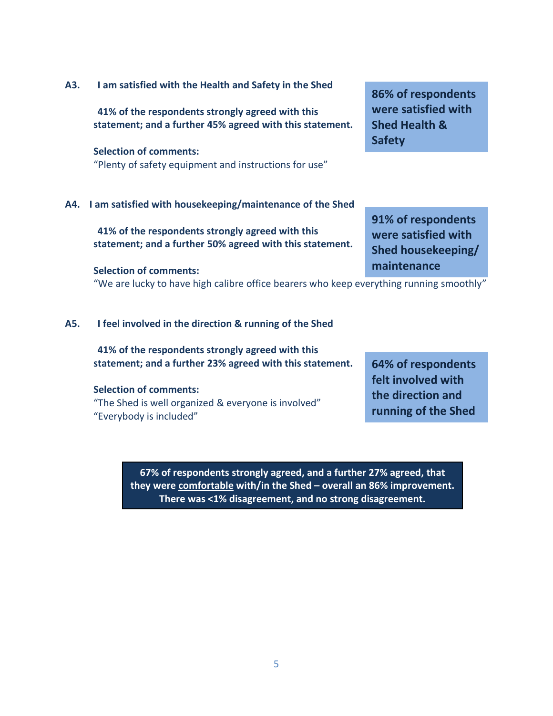### **A3. I am satisfied with the Health and Safety in the Shed**

**41% of the respondents strongly agreed with this statement; and a further 45% agreed with this statement.**

#### **Selection of comments:**

"Plenty of safety equipment and instructions for use"

## **A4. I am satisfied with housekeeping/maintenance of the Shed**

**41% of the respondents strongly agreed with this statement; and a further 50% agreed with this statement.**

#### **Selection of comments:**

"We are lucky to have high calibre office bearers who keep everything running smoothly"

#### **A5. I feel involved in the direction & running of the Shed**

**41% of the respondents strongly agreed with this statement; and a further 23% agreed with this statement.**

#### **Selection of comments:**

"The Shed is well organized & everyone is involved" "Everybody is included"

> **67% of respondents strongly agreed, and a further 27% agreed, that they were comfortable with/in the Shed – overall an 86% improvement. There was <1% disagreement, and no strong disagreement.**

**86% of respondents were satisfied with Shed Health & Safety**

**91% of respondents were satisfied with Shed housekeeping/ maintenance**

**64% of respondents felt involved with the direction and running of the Shed**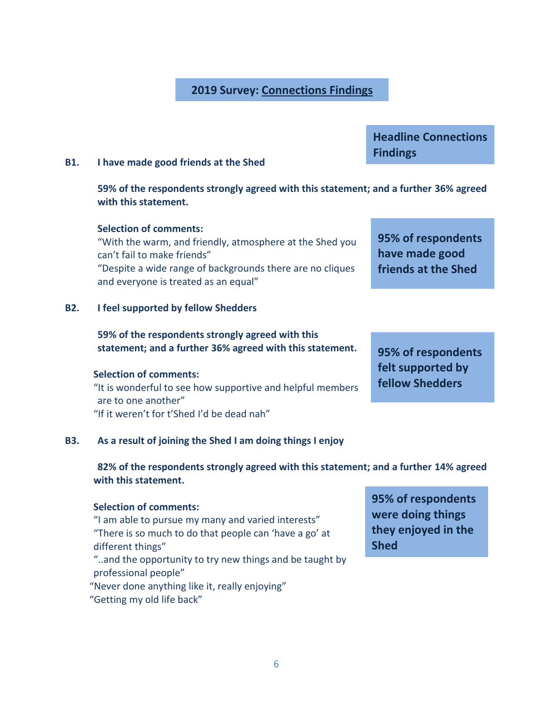## **2019 Survey: Connections Findings**

**Headline Connections Findings**

#### **B1. I have made good friends at the Shed**

**59% of the respondents strongly agreed with this statement; and a further 36% agreed with this statement.**

#### **Selection of comments:**

"With the warm, and friendly, atmosphere at the Shed you can't fail to make friends" "Despite a wide range of backgrounds there are no cliques and everyone is treated as an equal"

#### **B2. I feel supported by fellow Shedders**

## **59% of the respondents strongly agreed with this statement; and a further 36% agreed with this statement.**

#### **Selection of comments:**

"It is wonderful to see how supportive and helpful members are to one another" "If it weren't for t'Shed I'd be dead nah"

## **B3. As a result of joining the Shed I am doing things I enjoy**

**82% of the respondents strongly agreed with this statement; and a further 14% agreed with this statement.**

## **Selection of comments:**

"I am able to pursue my many and varied interests" "There is so much to do that people can 'have a go' at different things"

"..and the opportunity to try new things and be taught by professional people"

"Never done anything like it, really enjoying"

"Getting my old life back"

**95% of respondents were doing things they enjoyed in the Shed**

**95% of respondents have made good friends at the Shed**

**95% of respondents felt supported by fellow Shedders**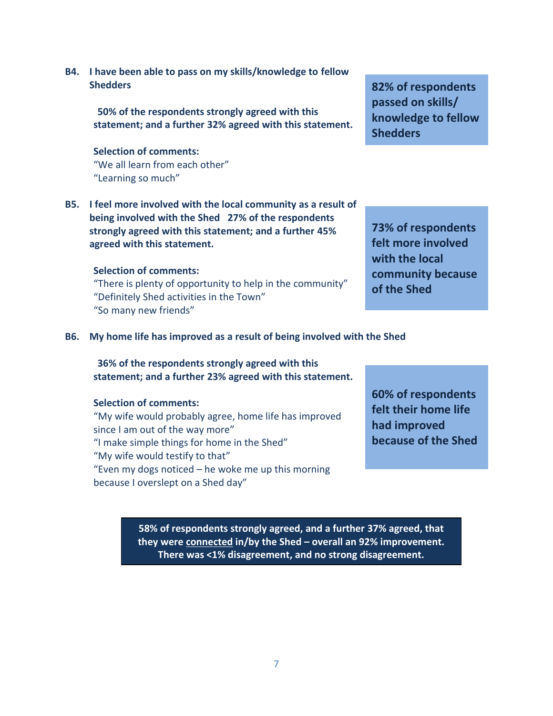**B4. I have been able to pass on my skills/knowledge to fellow Shedders**

> **50% of the respondents strongly agreed with this statement; and a further 32% agreed with this statement.**

#### **Selection of comments:**

"We all learn from each other" "Learning so much"

**B5. I feel more involved with the local community as a result of being involved with the Shed 27% of the respondents strongly agreed with this statement; and a further 45% agreed with this statement.**

### **Selection of comments:**

"There is plenty of opportunity to help in the community" "Definitely Shed activities in the Town" "So many new friends"

**B6. My home life has improved as a result of being involved with the Shed**

**36% of the respondents strongly agreed with this statement; and a further 23% agreed with this statement.**

#### **Selection of comments:**

"My wife would probably agree, home life has improved since I am out of the way more" "I make simple things for home in the Shed" "My wife would testify to that" "Even my dogs noticed – he woke me up this morning because I overslept on a Shed day"

**60% of respondents felt their home life had improved because of the Shed**

**58% of respondents strongly agreed, and a further 37% agreed, that they were connected in/by the Shed – overall an 92% improvement. There was <1% disagreement, and no strong disagreement.**

**82% of respondents passed on skills/ knowledge to fellow Shedders**

**73% of respondents felt more involved with the local community because of the Shed**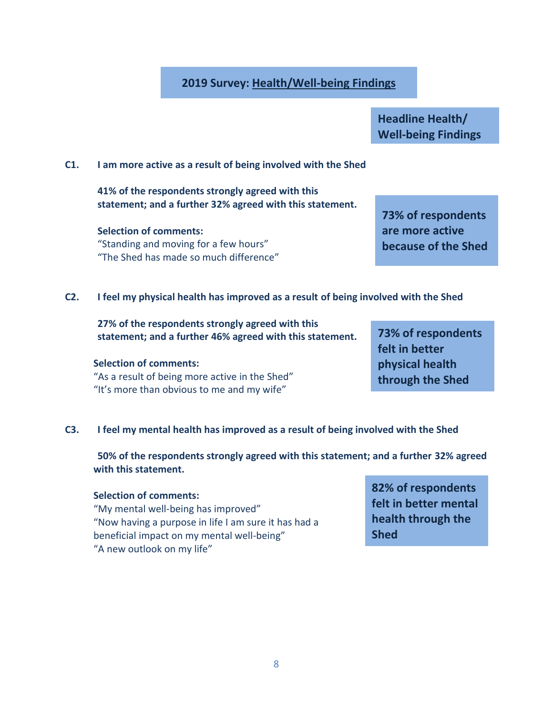## **2019 Survey: Health/Well-being Findings**

**Headline Health/ Well-being Findings**

### **C1. I am more active as a result of being involved with the Shed**

**41% of the respondents strongly agreed with this statement; and a further 32% agreed with this statement.**

**Selection of comments:** "Standing and moving for a few hours" "The Shed has made so much difference" **73% of respondents are more active because of the Shed**

**C2. I feel my physical health has improved as a result of being involved with the Shed**

**27% of the respondents strongly agreed with this statement; and a further 46% agreed with this statement.**

#### **Selection of comments:**

"As a result of being more active in the Shed" "It's more than obvious to me and my wife"

**73% of respondents felt in better physical health through the Shed**

## **C3. I feel my mental health has improved as a result of being involved with the Shed**

**50% of the respondents strongly agreed with this statement; and a further 32% agreed with this statement.**

#### **Selection of comments:**

"My mental well-being has improved" "Now having a purpose in life I am sure it has had a beneficial impact on my mental well-being" "A new outlook on my life"

**82% of respondents felt in better mental health through the Shed**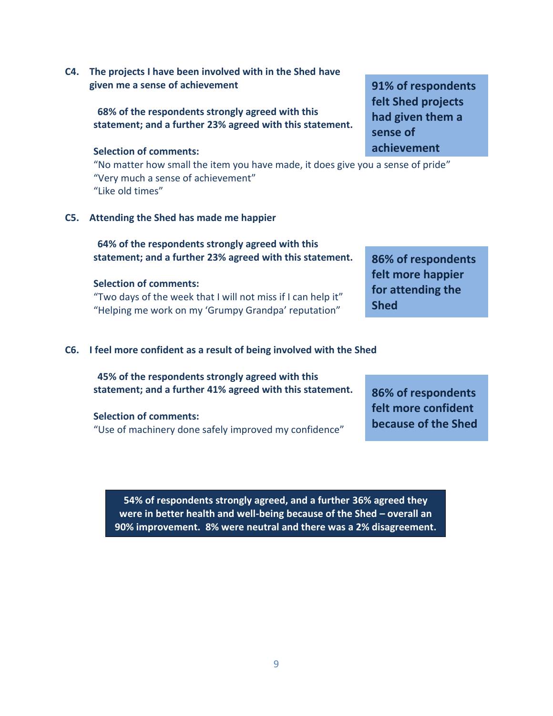**C4. The projects I have been involved with in the Shed have given me a sense of achievement**

> **68% of the respondents strongly agreed with this statement; and a further 23% agreed with this statement.**

#### **Selection of comments:**

"No matter how small the item you have made, it does give you a sense of pride" "Very much a sense of achievement" "Like old times"

**C5. Attending the Shed has made me happier**

**64% of the respondents strongly agreed with this statement; and a further 23% agreed with this statement.**

#### **Selection of comments:**

"Two days of the week that I will not miss if I can help it" "Helping me work on my 'Grumpy Grandpa' reputation"

### **C6. I feel more confident as a result of being involved with the Shed**

**45% of the respondents strongly agreed with this statement; and a further 41% agreed with this statement.**

#### **Selection of comments:**

"Use of machinery done safely improved my confidence"

**86% of respondents felt more confident because of the Shed**

**86% of respondents felt more happier for attending the** 

**Shed**

**54% of respondents strongly agreed, and a further 36% agreed they were in better health and well-being because of the Shed – overall an 90% improvement. 8% were neutral and there was a 2% disagreement.**

**91% of respondents felt Shed projects had given them a sense of achievement**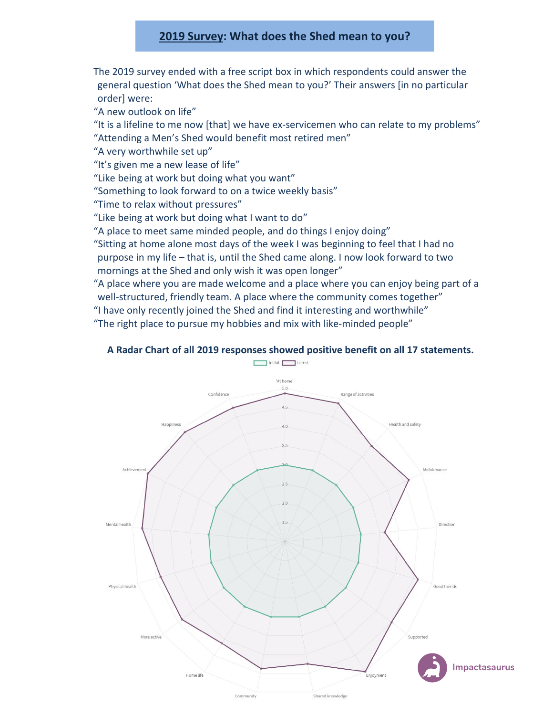## **2019 Survey: What does the Shed mean to you?**

The 2019 survey ended with a free script box in which respondents could answer the general question 'What does the Shed mean to you?' Their answers [in no particular order] were:

"A new outlook on life"

"It is a lifeline to me now [that] we have ex-servicemen who can relate to my problems" "Attending a Men's Shed would benefit most retired men"

"A very worthwhile set up"

"It's given me a new lease of life"

"Like being at work but doing what you want"

"Something to look forward to on a twice weekly basis"

"Time to relax without pressures"

"Like being at work but doing what I want to do"

"A place to meet same minded people, and do things I enjoy doing"

"Sitting at home alone most days of the week I was beginning to feel that I had no purpose in my life – that is, until the Shed came along. I now look forward to two mornings at the Shed and only wish it was open longer"

"A place where you are made welcome and a place where you can enjoy being part of a well-structured, friendly team. A place where the community comes together"

"I have only recently joined the Shed and find it interesting and worthwhile"

"The right place to pursue my hobbies and mix with like-minded people"

### **A Radar Chart of all 2019 responses showed positive benefit on all 17 statements.**

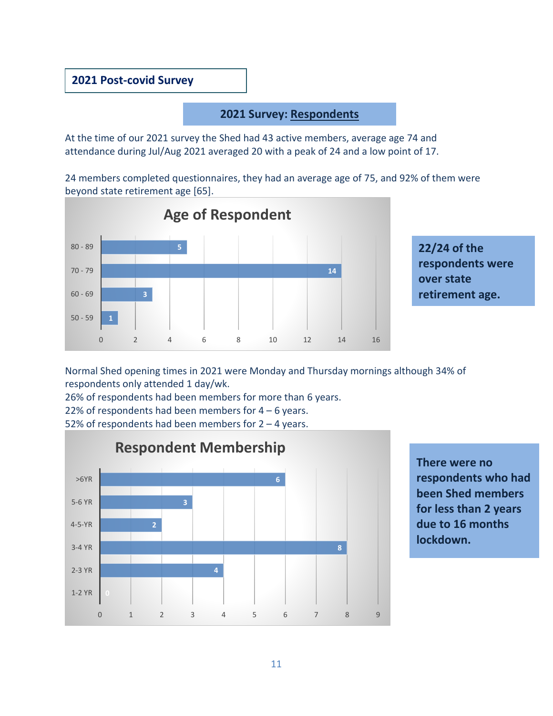## **2021 Post-covid Survey**

## **2021 Survey: Respondents**

At the time of our 2021 survey the Shed had 43 active members, average age 74 and attendance during Jul/Aug 2021 averaged 20 with a peak of 24 and a low point of 17.

24 members completed questionnaires, they had an average age of 75, and 92% of them were beyond state retirement age [65].



**22/24 of the respondents were over state retirement age.**

Normal Shed opening times in 2021 were Monday and Thursday mornings although 34% of respondents only attended 1 day/wk.

26% of respondents had been members for more than 6 years.

22% of respondents had been members for  $4 - 6$  years.

52% of respondents had been members for 2 – 4 years.



**There were no respondents who had been Shed members for less than 2 years due to 16 months lockdown.**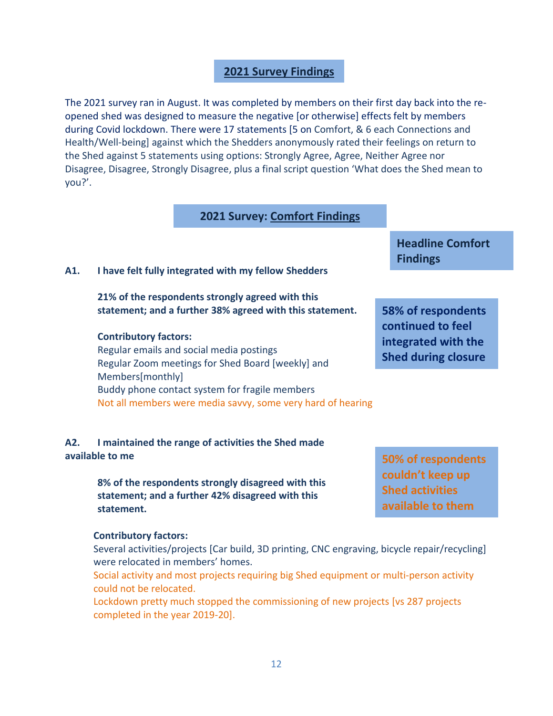## **2021 Survey Findings**

The 2021 survey ran in August. It was completed by members on their first day back into the reopened shed was designed to measure the negative [or otherwise] effects felt by members during Covid lockdown. There were 17 statements [5 on Comfort, & 6 each Connections and Health/Well-being] against which the Shedders anonymously rated their feelings on return to the Shed against 5 statements using options: Strongly Agree, Agree, Neither Agree nor Disagree, Disagree, Strongly Disagree, plus a final script question 'What does the Shed mean to you?'.

## **2021 Survey: Comfort Findings**

### **A1. I have felt fully integrated with my fellow Shedders**

**21% of the respondents strongly agreed with this statement; and a further 38% agreed with this statement.**

#### **Contributory factors:**

Regular emails and social media postings Regular Zoom meetings for Shed Board [weekly] and Members[monthly] Buddy phone contact system for fragile members Not all members were media savvy, some very hard of hearing

## **A2. I maintained the range of activities the Shed made available to me**

**8% of the respondents strongly disagreed with this statement; and a further 42% disagreed with this statement.**

#### **Contributory factors:**

Several activities/projects [Car build, 3D printing, CNC engraving, bicycle repair/recycling] were relocated in members' homes.

Social activity and most projects requiring big Shed equipment or multi-person activity could not be relocated.

Lockdown pretty much stopped the commissioning of new projects [vs 287 projects completed in the year 2019-20].

**Headline Comfort Findings**

**58% of respondents continued to feel integrated with the Shed during closure**

**50% of respondents couldn't keep up Shed activities available to them**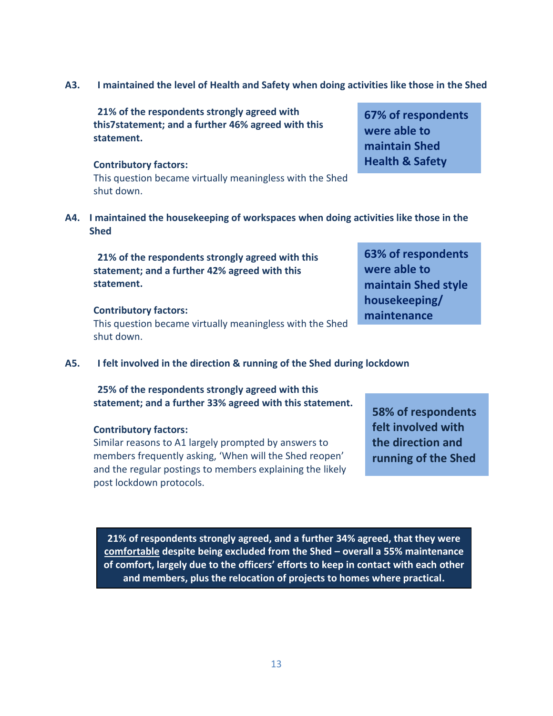**A3. I maintained the level of Health and Safety when doing activities like those in the Shed**

**21% of the respondents strongly agreed with this7statement; and a further 46% agreed with this statement.**

### **Contributory factors:**

This question became virtually meaningless with the Shed shut down.

**A4. I maintained the housekeeping of workspaces when doing activities like those in the Shed**

**21% of the respondents strongly agreed with this statement; and a further 42% agreed with this statement.**

## **Contributory factors:**

This question became virtually meaningless with the Shed shut down.

**A5. I felt involved in the direction & running of the Shed during lockdown**

**25% of the respondents strongly agreed with this statement; and a further 33% agreed with this statement.**

## **Contributory factors:**

Similar reasons to A1 largely prompted by answers to members frequently asking, 'When will the Shed reopen' and the regular postings to members explaining the likely post lockdown protocols.

**58% of respondents felt involved with the direction and running of the Shed**

**21% of respondents strongly agreed, and a further 34% agreed, that they were comfortable despite being excluded from the Shed – overall a 55% maintenance of comfort, largely due to the officers' efforts to keep in contact with each other and members, plus the relocation of projects to homes where practical.**

**67% of respondents were able to maintain Shed Health & Safety**

**63% of respondents** 

**maintain Shed style** 

**were able to** 

**housekeeping/ maintenance**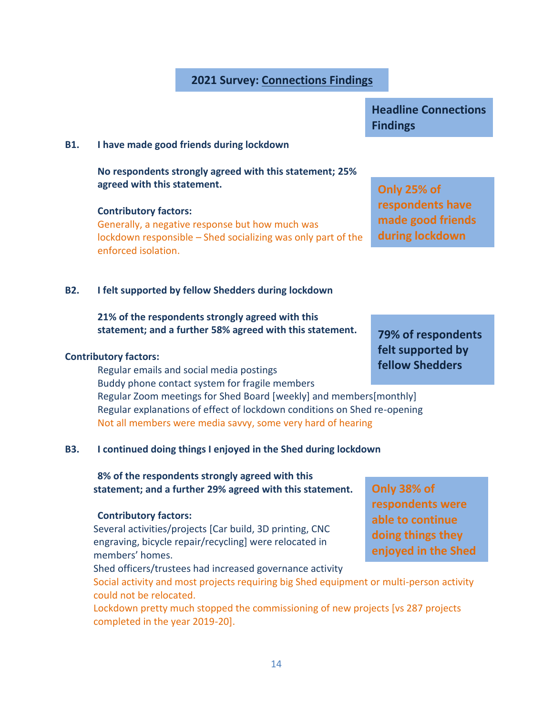## **2021 Survey: Connections Findings**

#### **B1. I have made good friends during lockdown**

**No respondents strongly agreed with this statement; 25% agreed with this statement.**

### **Contributory factors:**

Generally, a negative response but how much was lockdown responsible – Shed socializing was only part of the enforced isolation.

#### **B2. I felt supported by fellow Shedders during lockdown**

## **21% of the respondents strongly agreed with this statement; and a further 58% agreed with this statement.**

#### **Contributory factors:**

Regular emails and social media postings Buddy phone contact system for fragile members Regular Zoom meetings for Shed Board [weekly] and members[monthly] Regular explanations of effect of lockdown conditions on Shed re-opening Not all members were media savvy, some very hard of hearing

## **B3. I continued doing things I enjoyed in the Shed during lockdown**

**8% of the respondents strongly agreed with this statement; and a further 29% agreed with this statement.**

#### **Contributory factors:**

Several activities/projects [Car build, 3D printing, CNC engraving, bicycle repair/recycling] were relocated in members' homes.

Shed officers/trustees had increased governance activity

Social activity and most projects requiring big Shed equipment or multi-person activity could not be relocated.

Lockdown pretty much stopped the commissioning of new projects [vs 287 projects completed in the year 2019-20].

**Headline Connections Findings**

**Only 25% of respondents have made good friends during lockdown**

**79% of respondents felt supported by fellow Shedders**

**Only 38% of respondents were able to continue doing things they enjoyed in the Shed**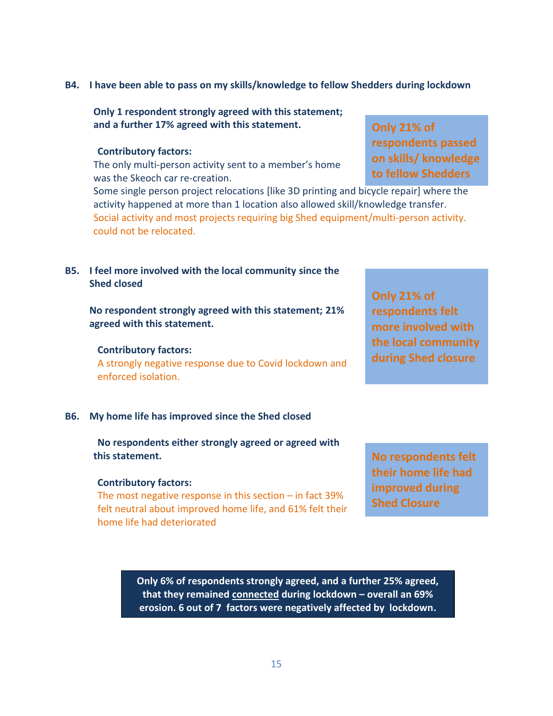#### **B4. I have been able to pass on my skills/knowledge to fellow Shedders during lockdown**

**Only 1 respondent strongly agreed with this statement; and a further 17% agreed with this statement.**

#### **Contributory factors:**

The only multi-person activity sent to a member's home was the Skeoch car re-creation.

Some single person project relocations [like 3D printing and bicycle repair] where the activity happened at more than 1 location also allowed skill/knowledge transfer. Social activity and most projects requiring big Shed equipment/multi-person activity. could not be relocated.

### **B5. I feel more involved with the local community since the Shed closed**

**No respondent strongly agreed with this statement; 21% agreed with this statement.**

#### **Contributory factors:**

A strongly negative response due to Covid lockdown and enforced isolation.

#### **B6. My home life has improved since the Shed closed**

**No respondents either strongly agreed or agreed with this statement.**

#### **Contributory factors:**

The most negative response in this section – in fact 39% felt neutral about improved home life, and 61% felt their home life had deteriorated

**Only 21% of respondents passed on skills/ knowledge to fellow Shedders**

**Only 21% of respondents felt more involved with the local community during Shed closure**

**No respondents felt their home life had improved during Shed Closure**

**Only 6% of respondents strongly agreed, and a further 25% agreed, that they remained connected during lockdown – overall an 69% erosion. 6 out of 7 factors were negatively affected by lockdown.**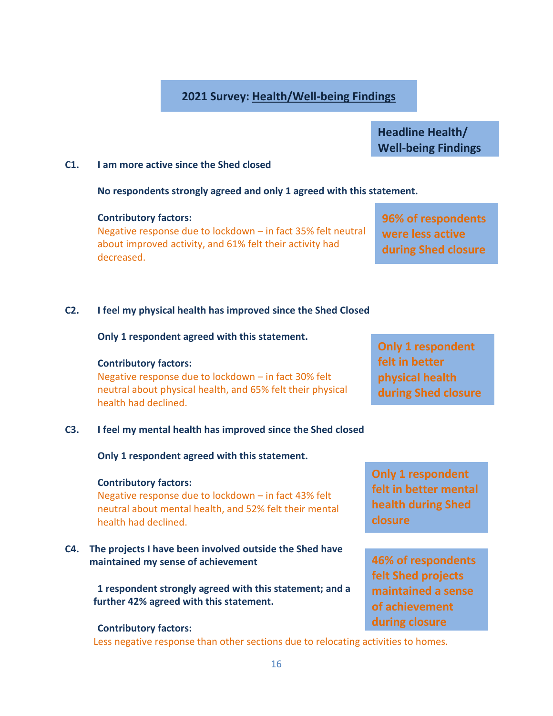## **2021 Survey: Health/Well-being Findings**

**Headline Health/ Well-being Findings**

## **C1. I am more active since the Shed closed**

**No respondents strongly agreed and only 1 agreed with this statement.**

**Contributory factors:**

Negative response due to lockdown – in fact 35% felt neutral about improved activity, and 61% felt their activity had decreased.

## **96% of respondents were less active during Shed closure**

## **C2. I feel my physical health has improved since the Shed Closed**

**Only 1 respondent agreed with this statement.**

## **Contributory factors:**

Negative response due to lockdown – in fact 30% felt neutral about physical health, and 65% felt their physical health had declined.

## **C3. I feel my mental health has improved since the Shed closed**

**Only 1 respondent agreed with this statement.**

## **Contributory factors:**

Negative response due to lockdown – in fact 43% felt neutral about mental health, and 52% felt their mental health had declined.

**C4. The projects I have been involved outside the Shed have maintained my sense of achievement**

> **1 respondent strongly agreed with this statement; and a further 42% agreed with this statement.**

## **Contributory factors:**

Less negative response than other sections due to relocating activities to homes.

**Only 1 respondent felt in better physical health during Shed closure**

**Only 1 respondent felt in better mental health during Shed closure**

**46% of respondents felt Shed projects maintained a sense of achievement during closure**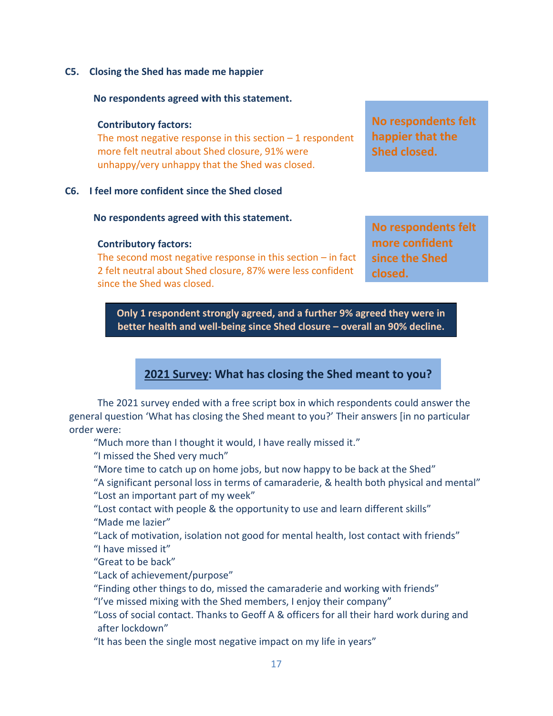**C5. Closing the Shed has made me happier**

### **No respondents agreed with this statement.**

### **Contributory factors:**

The most negative response in this section  $-1$  respondent more felt neutral about Shed closure, 91% were unhappy/very unhappy that the Shed was closed.

## **C6. I feel more confident since the Shed closed**

### **No respondents agreed with this statement.**

### **Contributory factors:**

The second most negative response in this section  $-$  in fact 2 felt neutral about Shed closure, 87% were less confident since the Shed was closed.

**No respondents felt happier that the Shed closed.**

**No respondents felt more confident since the Shed closed.**

**Only 1 respondent strongly agreed, and a further 9% agreed they were in better health and well-being since Shed closure – overall an 90% decline.**

## **2021 Survey: What has closing the Shed meant to you?**

The 2021 survey ended with a free script box in which respondents could answer the general question 'What has closing the Shed meant to you?' Their answers [in no particular order were:

"Much more than I thought it would, I have really missed it."

"I missed the Shed very much"

"More time to catch up on home jobs, but now happy to be back at the Shed"

"A significant personal loss in terms of camaraderie, & health both physical and mental" "Lost an important part of my week"

"Lost contact with people & the opportunity to use and learn different skills" "Made me lazier"

"Lack of motivation, isolation not good for mental health, lost contact with friends"

"I have missed it"

"Great to be back"

"Lack of achievement/purpose"

"Finding other things to do, missed the camaraderie and working with friends"

"I've missed mixing with the Shed members, I enjoy their company"

"Loss of social contact. Thanks to Geoff A & officers for all their hard work during and after lockdown"

"It has been the single most negative impact on my life in years"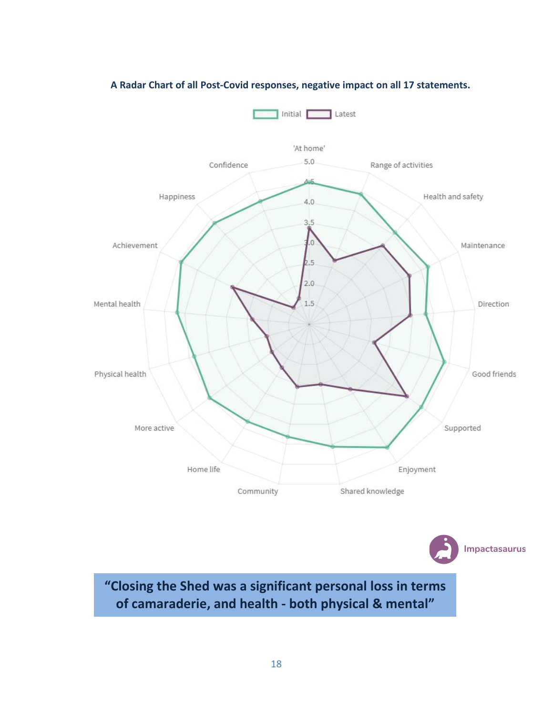

## **A Radar Chart of all Post-Covid responses, negative impact on all 17 statements.**

**"Closing the Shed was a significant personal loss in terms of camaraderie, and health - both physical & mental"**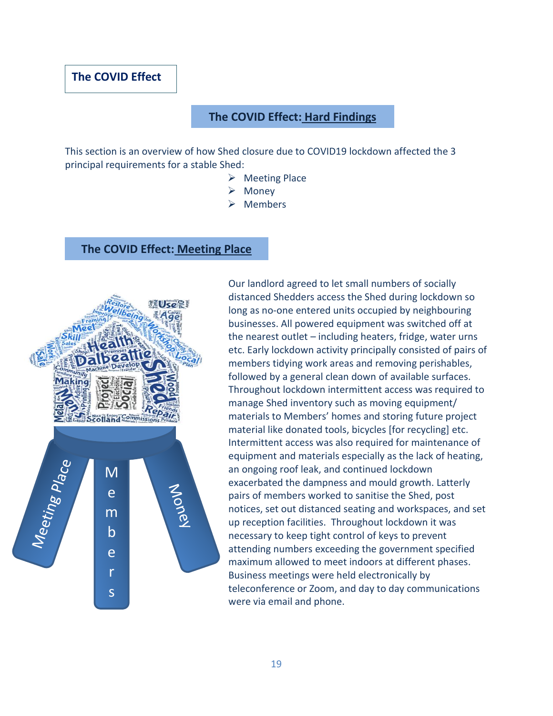## **The COVID Effect**

## **The COVID Effect: Hard Findings**

This section is an overview of how Shed closure due to COVID19 lockdown affected the 3 principal requirements for a stable Shed:

- ➢ Meeting Place
- ➢ Money
- ➢ Members

## **The COVID Effect: Meeting Place**



Our landlord agreed to let small numbers of socially distanced Shedders access the Shed during lockdown so long as no-one entered units occupied by neighbouring businesses. All powered equipment was switched off at the nearest outlet – including heaters, fridge, water urns etc. Early lockdown activity principally consisted of pairs of members tidying work areas and removing perishables, followed by a general clean down of available surfaces. Throughout lockdown intermittent access was required to manage Shed inventory such as moving equipment/ materials to Members' homes and storing future project material like donated tools, bicycles [for recycling] etc. Intermittent access was also required for maintenance of equipment and materials especially as the lack of heating, an ongoing roof leak, and continued lockdown exacerbated the dampness and mould growth. Latterly pairs of members worked to sanitise the Shed, post notices, set out distanced seating and workspaces, and set up reception facilities. Throughout lockdown it was necessary to keep tight control of keys to prevent attending numbers exceeding the government specified maximum allowed to meet indoors at different phases. Business meetings were held electronically by teleconference or Zoom, and day to day communications were via email and phone.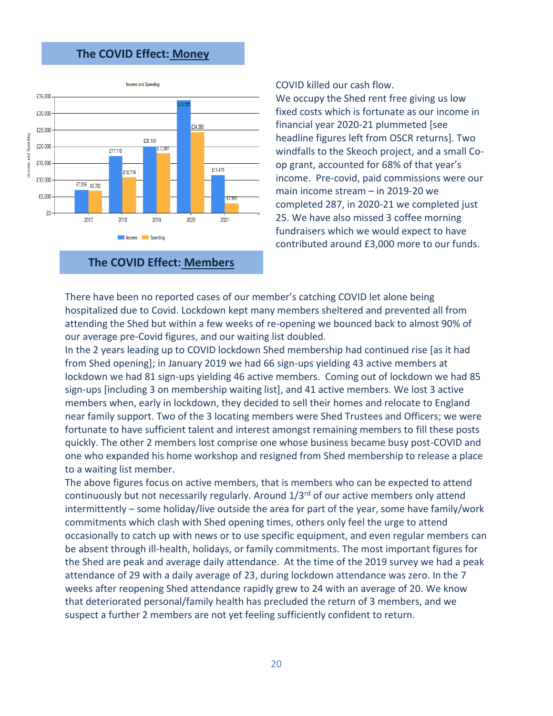## **The COVID Effect: Money**



**The COVID Effect: Members**

COVID killed our cash flow.

We occupy the Shed rent free giving us low fixed costs which is fortunate as our income in financial year 2020-21 plummeted [see headline figures left from OSCR returns]. Two windfalls to the Skeoch project, and a small Coop grant, accounted for 68% of that year's income. Pre-covid, paid commissions were our main income stream – in 2019-20 we completed 287, in 2020-21 we completed just 25. We have also missed 3 coffee morning fundraisers which we would expect to have contributed around £3,000 more to our funds.

There have been no reported cases of our member's catching COVID let alone being hospitalized due to Covid. Lockdown kept many members sheltered and prevented all from attending the Shed but within a few weeks of re-opening we bounced back to almost 90% of our average pre-Covid figures, and our waiting list doubled.

In the 2 years leading up to COVID lockdown Shed membership had continued rise [as it had from Shed opening]; in January 2019 we had 66 sign-ups yielding 43 active members at lockdown we had 81 sign-ups yielding 46 active members. Coming out of lockdown we had 85 sign-ups [including 3 on membership waiting list], and 41 active members. We lost 3 active members when, early in lockdown, they decided to sell their homes and relocate to England near family support. Two of the 3 locating members were Shed Trustees and Officers; we were fortunate to have sufficient talent and interest amongst remaining members to fill these posts quickly. The other 2 members lost comprise one whose business became busy post-COVID and one who expanded his home workshop and resigned from Shed membership to release a place to a waiting list member.

The above figures focus on active members, that is members who can be expected to attend continuously but not necessarily regularly. Around  $1/3<sup>rd</sup>$  of our active members only attend intermittently – some holiday/live outside the area for part of the year, some have family/work commitments which clash with Shed opening times, others only feel the urge to attend occasionally to catch up with news or to use specific equipment, and even regular members can be absent through ill-health, holidays, or family commitments. The most important figures for the Shed are peak and average daily attendance. At the time of the 2019 survey we had a peak attendance of 29 with a daily average of 23, during lockdown attendance was zero. In the 7 weeks after reopening Shed attendance rapidly grew to 24 with an average of 20. We know that deteriorated personal/family health has precluded the return of 3 members, and we suspect a further 2 members are not yet feeling sufficiently confident to return.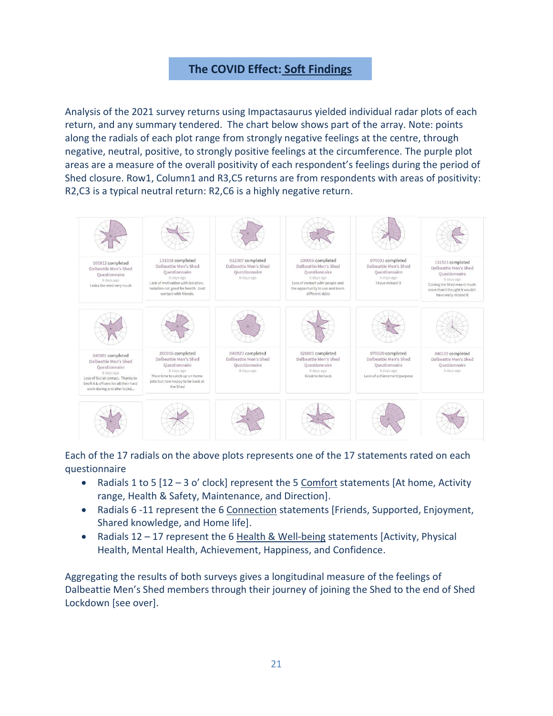## **The COVID Effect: Soft Findings**

Analysis of the 2021 survey returns using Impactasaurus yielded individual radar plots of each return, and any summary tendered. The chart below shows part of the array. Note: points along the radials of each plot range from strongly negative feelings at the centre, through negative, neutral, positive, to strongly positive feelings at the circumference. The purple plot areas are a measure of the overall positivity of each respondent's feelings during the period of Shed closure. Row1, Column1 and R3,C5 returns are from respondents with areas of positivity: R2,C3 is a typical neutral return: R2,C6 is a highly negative return.



Each of the 17 radials on the above plots represents one of the 17 statements rated on each questionnaire

- Radials 1 to 5  $[12 3$  o' clock] represent the 5 Comfort statements [At home, Activity range, Health & Safety, Maintenance, and Direction].
- Radials 6 -11 represent the 6 Connection statements [Friends, Supported, Enjoyment, Shared knowledge, and Home life].
- Radials 12 17 represent the 6 Health & Well-being statements [Activity, Physical Health, Mental Health, Achievement, Happiness, and Confidence.

Aggregating the results of both surveys gives a longitudinal measure of the feelings of Dalbeattie Men's Shed members through their journey of joining the Shed to the end of Shed Lockdown [see over].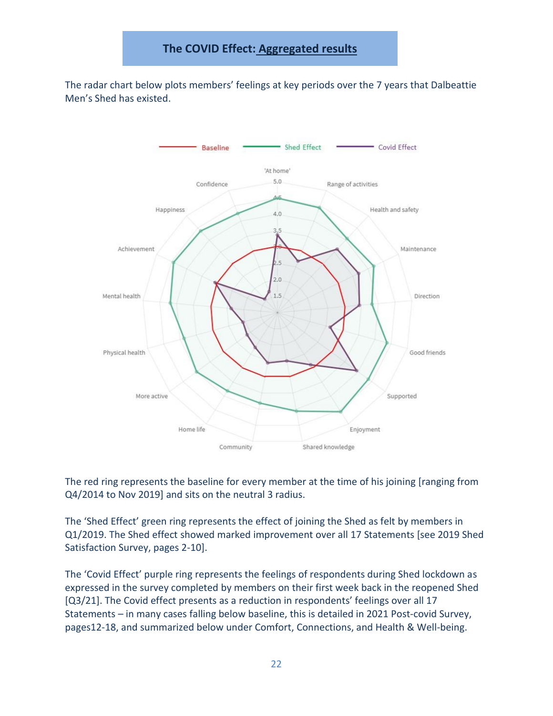The radar chart below plots members' feelings at key periods over the 7 years that Dalbeattie Men's Shed has existed.



The red ring represents the baseline for every member at the time of his joining [ranging from Q4/2014 to Nov 2019] and sits on the neutral 3 radius.

The 'Shed Effect' green ring represents the effect of joining the Shed as felt by members in Q1/2019. The Shed effect showed marked improvement over all 17 Statements [see 2019 Shed Satisfaction Survey, pages 2-10].

The 'Covid Effect' purple ring represents the feelings of respondents during Shed lockdown as expressed in the survey completed by members on their first week back in the reopened Shed [Q3/21]. The Covid effect presents as a reduction in respondents' feelings over all 17 Statements – in many cases falling below baseline, this is detailed in 2021 Post-covid Survey, pages12-18, and summarized below under Comfort, Connections, and Health & Well-being.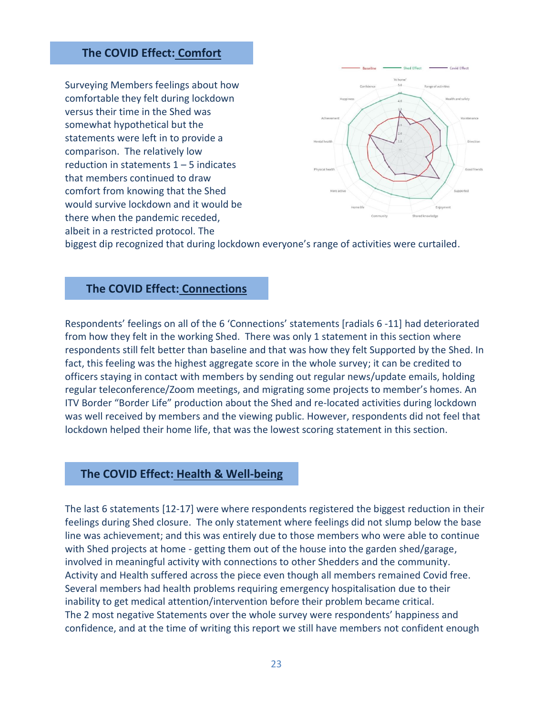## **The COVID Effect: Comfort**

Surveying Members feelings about how comfortable they felt during lockdown versus their time in the Shed was somewhat hypothetical but the statements were left in to provide a comparison. The relatively low reduction in statements  $1 - 5$  indicates that members continued to draw comfort from knowing that the Shed would survive lockdown and it would be there when the pandemic receded, albeit in a restricted protocol. The



biggest dip recognized that during lockdown everyone's range of activities were curtailed.

## **The COVID Effect: Connections**

Respondents' feelings on all of the 6 'Connections' statements [radials 6 -11] had deteriorated from how they felt in the working Shed. There was only 1 statement in this section where respondents still felt better than baseline and that was how they felt Supported by the Shed. In fact, this feeling was the highest aggregate score in the whole survey; it can be credited to officers staying in contact with members by sending out regular news/update emails, holding regular teleconference/Zoom meetings, and migrating some projects to member's homes. An ITV Border "Border Life" production about the Shed and re-located activities during lockdown was well received by members and the viewing public. However, respondents did not feel that lockdown helped their home life, that was the lowest scoring statement in this section.

### **The COVID Effect: Health & Well-being**

The last 6 statements [12-17] were where respondents registered the biggest reduction in their feelings during Shed closure. The only statement where feelings did not slump below the base line was achievement; and this was entirely due to those members who were able to continue with Shed projects at home - getting them out of the house into the garden shed/garage, involved in meaningful activity with connections to other Shedders and the community. Activity and Health suffered across the piece even though all members remained Covid free. Several members had health problems requiring emergency hospitalisation due to their inability to get medical attention/intervention before their problem became critical. The 2 most negative Statements over the whole survey were respondents' happiness and confidence, and at the time of writing this report we still have members not confident enough